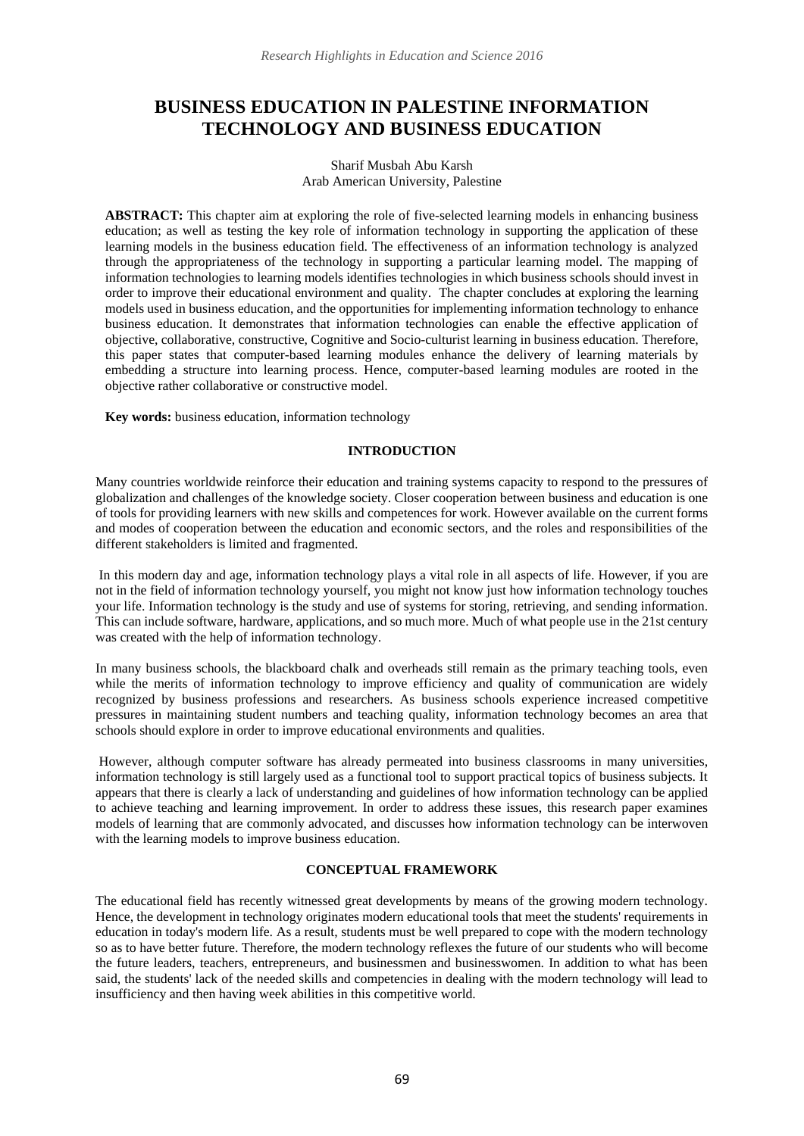# **BUSINESS EDUCATION IN PALESTINE INFORMATION TECHNOLOGY AND BUSINESS EDUCATION**

#### Sharif Musbah Abu Karsh Arab American University, Palestine

**ABSTRACT:** This chapter aim at exploring the role of five-selected learning models in enhancing business education; as well as testing the key role of information technology in supporting the application of these learning models in the business education field. The effectiveness of an information technology is analyzed through the appropriateness of the technology in supporting a particular learning model. The mapping of information technologies to learning models identifies technologies in which business schools should invest in order to improve their educational environment and quality. The chapter concludes at exploring the learning models used in business education, and the opportunities for implementing information technology to enhance business education. It demonstrates that information technologies can enable the effective application of objective, collaborative, constructive, Cognitive and Socio-culturist learning in business education. Therefore, this paper states that computer-based learning modules enhance the delivery of learning materials by embedding a structure into learning process. Hence, computer-based learning modules are rooted in the objective rather collaborative or constructive model.

**Key words:** business education, information technology

# **INTRODUCTION**

Many countries worldwide reinforce their education and training systems capacity to respond to the pressures of globalization and challenges of the knowledge society. Closer cooperation between business and education is one of tools for providing learners with new skills and competences for work. However available on the current forms and modes of cooperation between the education and economic sectors, and the roles and responsibilities of the different stakeholders is limited and fragmented.

In this modern day and age, information technology plays a vital role in all aspects of life. However, if you are not in the field of information technology yourself, you might not know just how information technology touches your life. Information technology is the study and use of systems for storing, retrieving, and sending information. This can include software, hardware, applications, and so much more. Much of what people use in the 21st century was created with the help of information technology.

In many business schools, the blackboard chalk and overheads still remain as the primary teaching tools, even while the merits of information technology to improve efficiency and quality of communication are widely recognized by business professions and researchers. As business schools experience increased competitive pressures in maintaining student numbers and teaching quality, information technology becomes an area that schools should explore in order to improve educational environments and qualities.

However, although computer software has already permeated into business classrooms in many universities, information technology is still largely used as a functional tool to support practical topics of business subjects. It appears that there is clearly a lack of understanding and guidelines of how information technology can be applied to achieve teaching and learning improvement. In order to address these issues, this research paper examines models of learning that are commonly advocated, and discusses how information technology can be interwoven with the learning models to improve business education.

## **CONCEPTUAL FRAMEWORK**

The educational field has recently witnessed great developments by means of the growing modern technology. Hence, the development in technology originates modern educational tools that meet the students' requirements in education in today's modern life. As a result, students must be well prepared to cope with the modern technology so as to have better future. Therefore, the modern technology reflexes the future of our students who will become the future leaders, teachers, entrepreneurs, and businessmen and businesswomen. In addition to what has been said, the students' lack of the needed skills and competencies in dealing with the modern technology will lead to insufficiency and then having week abilities in this competitive world.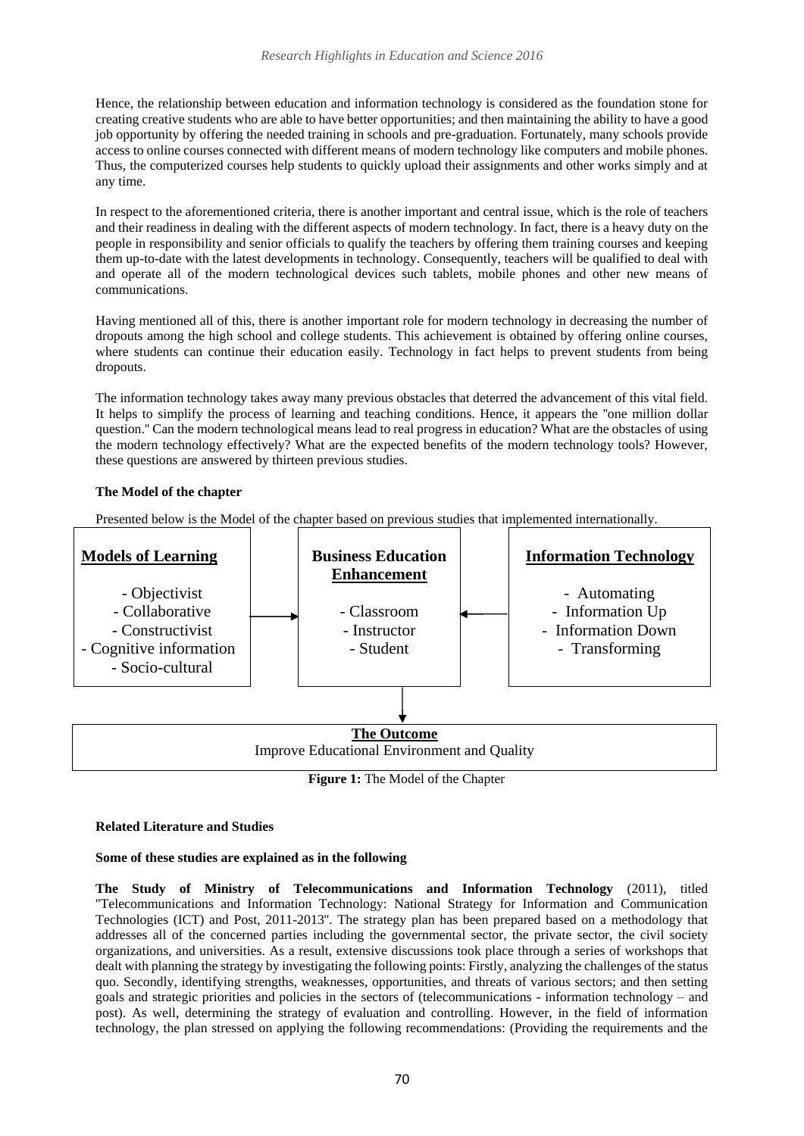Hence, the relationship between education and information technology is considered as the foundation stone for creating creative students who are able to have better opportunities; and then maintaining the ability to have a good job opportunity by offering the needed training in schools and pre-graduation. Fortunately, many schools provide access to online courses connected with different means of modern technology like computers and mobile phones. Thus, the computerized courses help students to quickly upload their assignments and other works simply and at any time.

In respect to the aforementioned criteria, there is another important and central issue, which is the role of teachers and their readiness in dealing with the different aspects of modern technology. In fact, there is a heavy duty on the people in responsibility and senior officials to qualify the teachers by offering them training courses and keeping them up-to-date with the latest developments in technology. Consequently, teachers will be qualified to deal with and operate all of the modern technological devices such tablets, mobile phones and other new means of communications.

Having mentioned all of this, there is another important role for modern technology in decreasing the number of dropouts among the high school and college students. This achievement is obtained by offering online courses, where students can continue their education easily. Technology in fact helps to prevent students from being dropouts.

The information technology takes away many previous obstacles that deterred the advancement of this vital field. It helps to simplify the process of learning and teaching conditions. Hence, it appears the ''one million dollar question.'' Can the modern technological means lead to real progress in education? What are the obstacles of using the modern technology effectively? What are the expected benefits of the modern technology tools? However, these questions are answered by thirteen previous studies.

## **The Model of the chapter**

Presented below is the Model of the chapter based on previous studies that implemented internationally.



**Figure 1:** The Model of the Chapter

## **Related Literature and Studies**

## **Some of these studies are explained as in the following**

**The Study of Ministry of Telecommunications and Information Technology** (2011), titled ''Telecommunications and Information Technology: National Strategy for Information and Communication Technologies (ICT) and Post, 2011-2013''. The strategy plan has been prepared based on a methodology that addresses all of the concerned parties including the governmental sector, the private sector, the civil society organizations, and universities. As a result, extensive discussions took place through a series of workshops that dealt with planning the strategy by investigating the following points: Firstly, analyzing the challenges of the status quo. Secondly, identifying strengths, weaknesses, opportunities, and threats of various sectors; and then setting goals and strategic priorities and policies in the sectors of (telecommunications - information technology – and post). As well, determining the strategy of evaluation and controlling. However, in the field of information technology, the plan stressed on applying the following recommendations: (Providing the requirements and the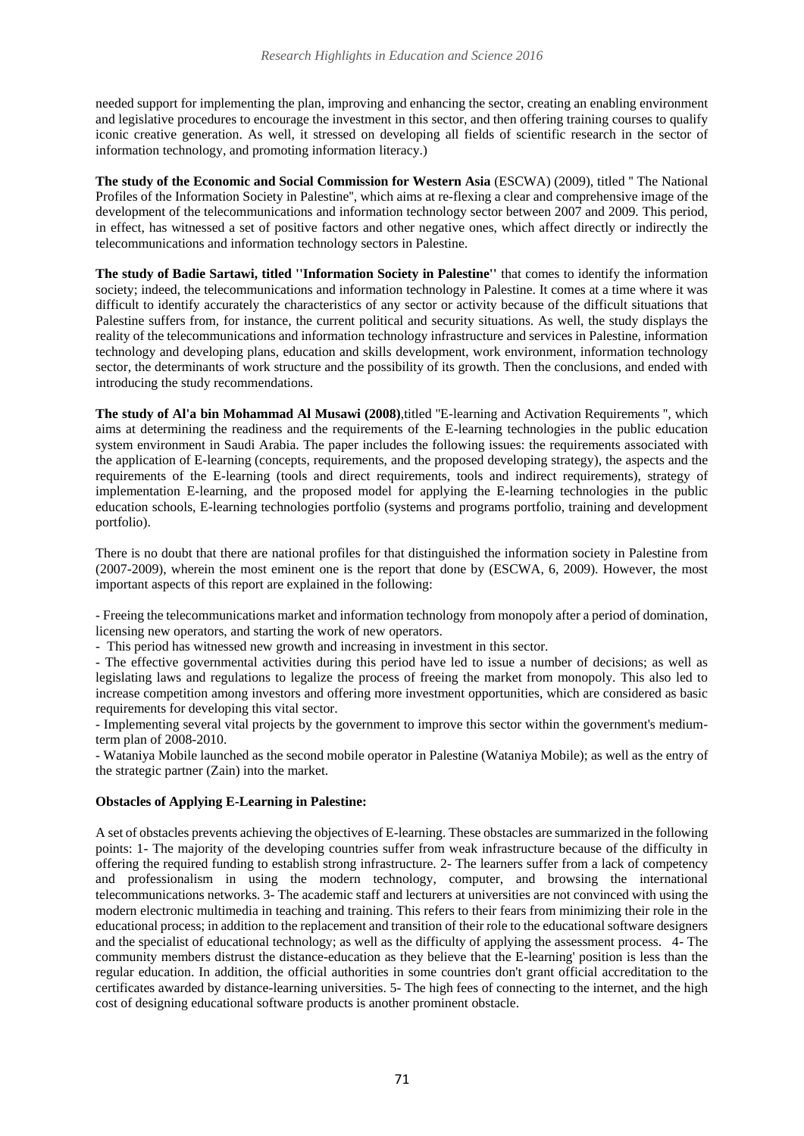needed support for implementing the plan, improving and enhancing the sector, creating an enabling environment and legislative procedures to encourage the investment in this sector, and then offering training courses to qualify iconic creative generation. As well, it stressed on developing all fields of scientific research in the sector of information technology, and promoting information literacy.)

**The study of the Economic and Social Commission for Western Asia** (ESCWA) (2009), titled '' The National Profiles of the Information Society in Palestine'', which aims at re-flexing a clear and comprehensive image of the development of the telecommunications and information technology sector between 2007 and 2009. This period, in effect, has witnessed a set of positive factors and other negative ones, which affect directly or indirectly the telecommunications and information technology sectors in Palestine.

**The study of Badie Sartawi, titled ''Information Society in Palestine''** that comes to identify the information society; indeed, the telecommunications and information technology in Palestine. It comes at a time where it was difficult to identify accurately the characteristics of any sector or activity because of the difficult situations that Palestine suffers from, for instance, the current political and security situations. As well, the study displays the reality of the telecommunications and information technology infrastructure and services in Palestine, information technology and developing plans, education and skills development, work environment, information technology sector, the determinants of work structure and the possibility of its growth. Then the conclusions, and ended with introducing the study recommendations.

**The study of Al'a bin Mohammad Al Musawi (2008)**,titled ''E*-*learning and Activation Requirements ''*,* which aims at determining the readiness and the requirements of the E-learning technologies in the public education system environment in Saudi Arabia. The paper includes the following issues: the requirements associated with the application of E-learning (concepts, requirements, and the proposed developing strategy), the aspects and the requirements of the E-learning (tools and direct requirements, tools and indirect requirements), strategy of implementation E-learning, and the proposed model for applying the E-learning technologies in the public education schools, E-learning technologies portfolio (systems and programs portfolio, training and development portfolio).

There is no doubt that there are national profiles for that distinguished the information society in Palestine from (2007-2009), wherein the most eminent one is the report that done by (ESCWA, 6, 2009). However, the most important aspects of this report are explained in the following:

- Freeing the telecommunications market and information technology from monopoly after a period of domination, licensing new operators, and starting the work of new operators.

- This period has witnessed new growth and increasing in investment in this sector.

- The effective governmental activities during this period have led to issue a number of decisions; as well as legislating laws and regulations to legalize the process of freeing the market from monopoly. This also led to increase competition among investors and offering more investment opportunities, which are considered as basic requirements for developing this vital sector.

- Implementing several vital projects by the government to improve this sector within the government's mediumterm plan of 2008-2010.

- Wataniya Mobile launched as the second mobile operator in Palestine (Wataniya Mobile); as well as the entry of the strategic partner (Zain) into the market.

## **Obstacles of Applying E-Learning in Palestine:**

A set of obstacles prevents achieving the objectives of E-learning. These obstacles are summarized in the following points: 1- The majority of the developing countries suffer from weak infrastructure because of the difficulty in offering the required funding to establish strong infrastructure. 2- The learners suffer from a lack of competency and professionalism in using the modern technology, computer, and browsing the international telecommunications networks. 3- The academic staff and lecturers at universities are not convinced with using the modern electronic multimedia in teaching and training. This refers to their fears from minimizing their role in the educational process; in addition to the replacement and transition of their role to the educational software designers and the specialist of educational technology; as well as the difficulty of applying the assessment process. 4- The community members distrust the distance-education as they believe that the E-learning' position is less than the regular education. In addition, the official authorities in some countries don't grant official accreditation to the certificates awarded by distance-learning universities. 5- The high fees of connecting to the internet, and the high cost of designing educational software products is another prominent obstacle.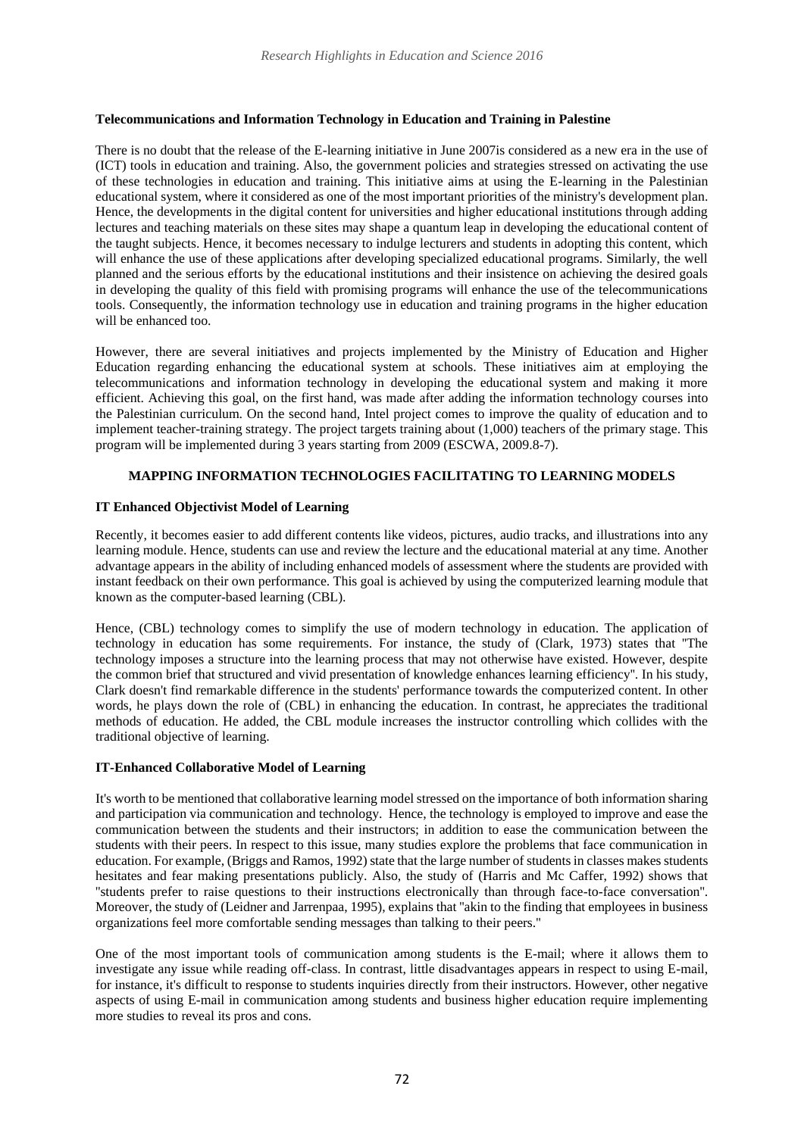# **Telecommunications and Information Technology in Education and Training in Palestine**

There is no doubt that the release of the E-learning initiative in June 2007is considered as a new era in the use of (ICT) tools in education and training. Also, the government policies and strategies stressed on activating the use of these technologies in education and training. This initiative aims at using the E-learning in the Palestinian educational system, where it considered as one of the most important priorities of the ministry's development plan. Hence, the developments in the digital content for universities and higher educational institutions through adding lectures and teaching materials on these sites may shape a quantum leap in developing the educational content of the taught subjects. Hence, it becomes necessary to indulge lecturers and students in adopting this content, which will enhance the use of these applications after developing specialized educational programs. Similarly, the well planned and the serious efforts by the educational institutions and their insistence on achieving the desired goals in developing the quality of this field with promising programs will enhance the use of the telecommunications tools. Consequently, the information technology use in education and training programs in the higher education will be enhanced too.

However, there are several initiatives and projects implemented by the Ministry of Education and Higher Education regarding enhancing the educational system at schools. These initiatives aim at employing the telecommunications and information technology in developing the educational system and making it more efficient. Achieving this goal, on the first hand, was made after adding the information technology courses into the Palestinian curriculum. On the second hand, Intel project comes to improve the quality of education and to implement teacher-training strategy. The project targets training about (1,000) teachers of the primary stage. This program will be implemented during 3 years starting from 2009 (ESCWA, 2009.8-7).

# **MAPPING INFORMATION TECHNOLOGIES FACILITATING TO LEARNING MODELS**

## **IT Enhanced Objectivist Model of Learning**

Recently, it becomes easier to add different contents like videos, pictures, audio tracks, and illustrations into any learning module. Hence, students can use and review the lecture and the educational material at any time. Another advantage appears in the ability of including enhanced models of assessment where the students are provided with instant feedback on their own performance. This goal is achieved by using the computerized learning module that known as the computer-based learning (CBL).

Hence, (CBL) technology comes to simplify the use of modern technology in education. The application of technology in education has some requirements. For instance, the study of (Clark, 1973) states that ''The technology imposes a structure into the learning process that may not otherwise have existed. However, despite the common brief that structured and vivid presentation of knowledge enhances learning efficiency''. In his study, Clark doesn't find remarkable difference in the students' performance towards the computerized content. In other words, he plays down the role of (CBL) in enhancing the education. In contrast, he appreciates the traditional methods of education. He added, the CBL module increases the instructor controlling which collides with the traditional objective of learning.

## **IT-Enhanced Collaborative Model of Learning**

It's worth to be mentioned that collaborative learning model stressed on the importance of both information sharing and participation via communication and technology. Hence, the technology is employed to improve and ease the communication between the students and their instructors; in addition to ease the communication between the students with their peers. In respect to this issue, many studies explore the problems that face communication in education. For example, (Briggs and Ramos, 1992) state that the large number of students in classes makes students hesitates and fear making presentations publicly. Also, the study of (Harris and Mc Caffer, 1992) shows that ''students prefer to raise questions to their instructions electronically than through face-to-face conversation''. Moreover, the study of (Leidner and Jarrenpaa, 1995), explains that "akin to the finding that employees in business organizations feel more comfortable sending messages than talking to their peers.''

One of the most important tools of communication among students is the E-mail; where it allows them to investigate any issue while reading off-class. In contrast, little disadvantages appears in respect to using E-mail, for instance, it's difficult to response to students inquiries directly from their instructors. However, other negative aspects of using E-mail in communication among students and business higher education require implementing more studies to reveal its pros and cons.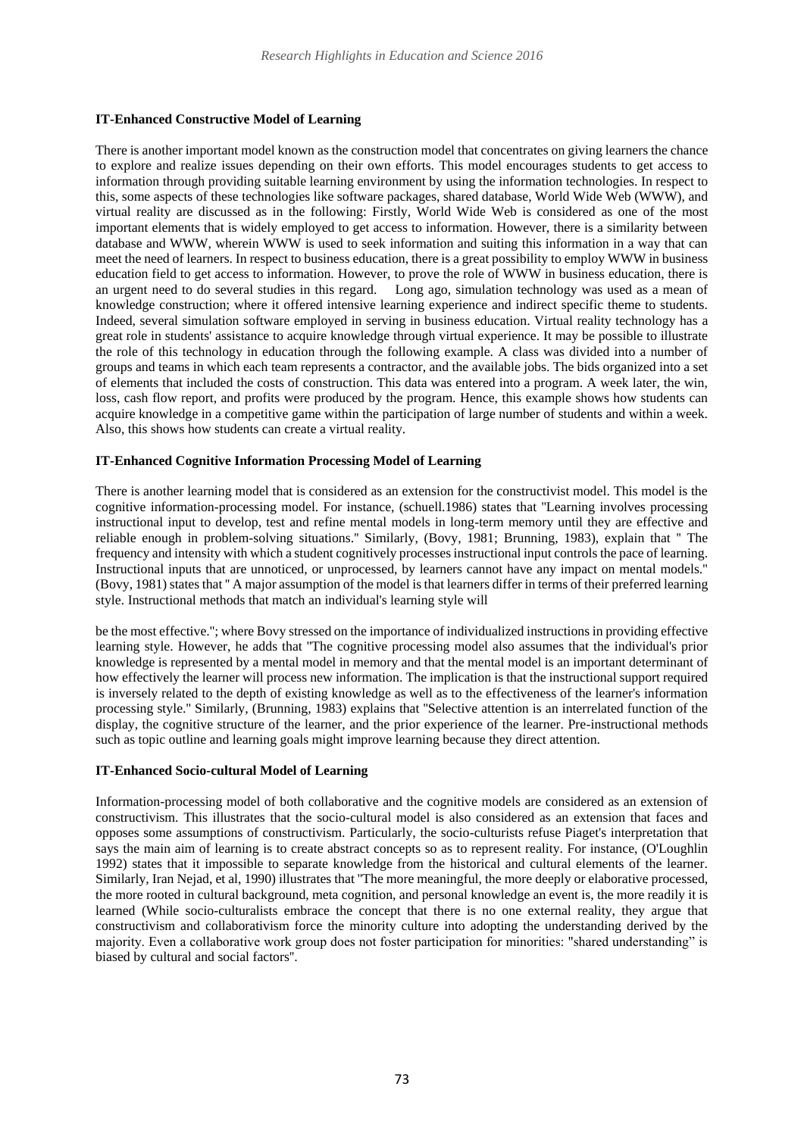# **IT-Enhanced Constructive Model of Learning**

There is another important model known as the construction model that concentrates on giving learners the chance to explore and realize issues depending on their own efforts. This model encourages students to get access to information through providing suitable learning environment by using the information technologies. In respect to this, some aspects of these technologies like software packages, shared database, World Wide Web (WWW), and virtual reality are discussed as in the following: Firstly, World Wide Web is considered as one of the most important elements that is widely employed to get access to information. However, there is a similarity between database and WWW, wherein WWW is used to seek information and suiting this information in a way that can meet the need of learners. In respect to business education, there is a great possibility to employ WWW in business education field to get access to information. However, to prove the role of WWW in business education, there is an urgent need to do several studies in this regard. Long ago, simulation technology was used as a mean of knowledge construction; where it offered intensive learning experience and indirect specific theme to students. Indeed, several simulation software employed in serving in business education. Virtual reality technology has a great role in students' assistance to acquire knowledge through virtual experience. It may be possible to illustrate the role of this technology in education through the following example. A class was divided into a number of groups and teams in which each team represents a contractor, and the available jobs. The bids organized into a set of elements that included the costs of construction. This data was entered into a program. A week later, the win, loss, cash flow report, and profits were produced by the program. Hence, this example shows how students can acquire knowledge in a competitive game within the participation of large number of students and within a week. Also, this shows how students can create a virtual reality.

## **IT-Enhanced Cognitive Information Processing Model of Learning**

There is another learning model that is considered as an extension for the constructivist model. This model is the cognitive information-processing model. For instance, (schuell.1986) states that ''Learning involves processing instructional input to develop, test and refine mental models in long-term memory until they are effective and reliable enough in problem-solving situations.'' Similarly, (Bovy, 1981; Brunning, 1983), explain that '' The frequency and intensity with which a student cognitively processes instructional input controls the pace of learning. Instructional inputs that are unnoticed, or unprocessed, by learners cannot have any impact on mental models.'' (Bovy, 1981) states that '' A major assumption of the model is that learners differ in terms of their preferred learning style. Instructional methods that match an individual's learning style will

be the most effective.''; where Bovy stressed on the importance of individualized instructions in providing effective learning style. However, he adds that ''The cognitive processing model also assumes that the individual's prior knowledge is represented by a mental model in memory and that the mental model is an important determinant of how effectively the learner will process new information. The implication is that the instructional support required is inversely related to the depth of existing knowledge as well as to the effectiveness of the learner's information processing style.'' Similarly, (Brunning, 1983) explains that ''Selective attention is an interrelated function of the display, the cognitive structure of the learner, and the prior experience of the learner. Pre-instructional methods such as topic outline and learning goals might improve learning because they direct attention.

## **IT-Enhanced Socio-cultural Model of Learning**

Information-processing model of both collaborative and the cognitive models are considered as an extension of constructivism. This illustrates that the socio-cultural model is also considered as an extension that faces and opposes some assumptions of constructivism. Particularly, the socio-culturists refuse Piaget's interpretation that says the main aim of learning is to create abstract concepts so as to represent reality. For instance, (O'Loughlin 1992) states that it impossible to separate knowledge from the historical and cultural elements of the learner. Similarly, Iran Nejad, et al, 1990) illustrates that ''The more meaningful, the more deeply or elaborative processed, the more rooted in cultural background, meta cognition, and personal knowledge an event is, the more readily it is learned (While socio-culturalists embrace the concept that there is no one external reality, they argue that constructivism and collaborativism force the minority culture into adopting the understanding derived by the majority. Even a collaborative work group does not foster participation for minorities: "shared understanding" is biased by cultural and social factors''.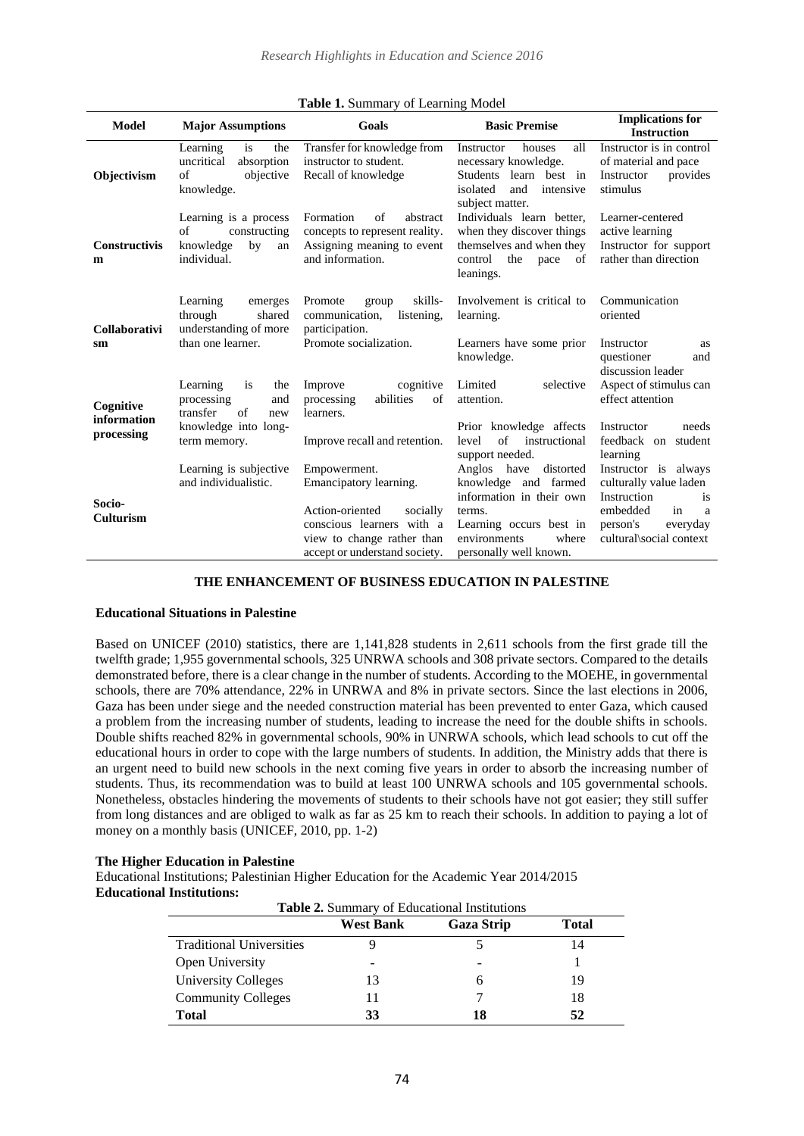| <b>Model</b>               | <b>Major Assumptions</b>                                                            | Goals                                                                                                                   | <b>Basic Premise</b>                                                                                                             | <b>Implications for</b><br><b>Instruction</b>                                          |
|----------------------------|-------------------------------------------------------------------------------------|-------------------------------------------------------------------------------------------------------------------------|----------------------------------------------------------------------------------------------------------------------------------|----------------------------------------------------------------------------------------|
| Objectivism                | is<br>the<br>Learning<br>uncritical<br>absorption<br>of<br>objective<br>knowledge.  | Transfer for knowledge from<br>instructor to student.<br>Recall of knowledge                                            | houses<br>all<br>Instructor<br>necessary knowledge.<br>Students learn best in<br>isolated<br>and<br>intensive<br>subject matter. | Instructor is in control<br>of material and pace<br>provides<br>Instructor<br>stimulus |
| <b>Constructivis</b><br>m  | Learning is a process<br>of<br>constructing<br>knowledge<br>by<br>an<br>individual. | Formation<br>of<br>abstract<br>concepts to represent reality.<br>Assigning meaning to event<br>and information.         | Individuals learn better.<br>when they discover things<br>themselves and when they<br>control<br>the<br>pace<br>of<br>leanings.  | Learner-centered<br>active learning<br>Instructor for support<br>rather than direction |
| Collaborativi              | Learning<br>emerges<br>through<br>shared<br>understanding of more                   | skills-<br>Promote<br>group<br>listening,<br>communication,<br>participation.                                           | Involvement is critical to<br>learning.                                                                                          | Communication<br>oriented                                                              |
| sm                         | than one learner.                                                                   | Promote socialization.                                                                                                  | Learners have some prior<br>knowledge.                                                                                           | Instructor<br>as<br>questioner<br>and<br>discussion leader                             |
| Cognitive<br>information   | Learning<br>is<br>the<br>processing<br>and<br>transfer<br>of<br>new                 | cognitive<br>Improve<br>abilities<br>of<br>processing<br>learners.                                                      | Limited<br>selective<br>attention.                                                                                               | Aspect of stimulus can<br>effect attention                                             |
| processing                 | knowledge into long-<br>term memory.                                                | Improve recall and retention.                                                                                           | Prior knowledge affects<br>of<br>instructional<br>level<br>support needed.                                                       | needs<br>Instructor<br>feedback on student<br>learning                                 |
|                            | Learning is subjective<br>and individualistic.                                      | Empowerment.<br>Emancipatory learning.                                                                                  | Anglos have<br>distorted<br>knowledge and farmed<br>information in their own                                                     | Instructor is always<br>culturally value laden<br>Instruction<br>is                    |
| Socio-<br><b>Culturism</b> |                                                                                     | Action-oriented<br>socially<br>conscious learners with a<br>view to change rather than<br>accept or understand society. | terms.<br>Learning occurs best in<br>environments<br>where<br>personally well known.                                             | embedded<br>in<br>a<br>person's<br>everyday<br>cultural\social context                 |

#### **Table 1.** Summary of Learning Model

## **THE ENHANCEMENT OF BUSINESS EDUCATION IN PALESTINE**

### **Educational Situations in Palestine**

Based on UNICEF (2010) statistics, there are 1,141,828 students in 2,611 schools from the first grade till the twelfth grade; 1,955 governmental schools, 325 UNRWA schools and 308 private sectors. Compared to the details demonstrated before, there is a clear change in the number of students. According to the MOEHE, in governmental schools, there are 70% attendance, 22% in UNRWA and 8% in private sectors. Since the last elections in 2006, Gaza has been under siege and the needed construction material has been prevented to enter Gaza, which caused a problem from the increasing number of students, leading to increase the need for the double shifts in schools. Double shifts reached 82% in governmental schools, 90% in UNRWA schools, which lead schools to cut off the educational hours in order to cope with the large numbers of students. In addition, the Ministry adds that there is an urgent need to build new schools in the next coming five years in order to absorb the increasing number of students. Thus, its recommendation was to build at least 100 UNRWA schools and 105 governmental schools. Nonetheless, obstacles hindering the movements of students to their schools have not got easier; they still suffer from long distances and are obliged to walk as far as 25 km to reach their schools. In addition to paying a lot of money on a monthly basis (UNICEF, 2010, pp. 1-2)

#### **The Higher Education in Palestine**

Educational Institutions; Palestinian Higher Education for the Academic Year 2014/2015 **Educational Institutions:** 

| Table 2. Summary of Educational Institutions |                  |                   |              |  |  |  |
|----------------------------------------------|------------------|-------------------|--------------|--|--|--|
|                                              | <b>West Bank</b> | <b>Gaza Strip</b> | <b>Total</b> |  |  |  |
| <b>Traditional Universities</b>              |                  |                   | 14           |  |  |  |
| Open University                              |                  |                   |              |  |  |  |
| University Colleges                          | 13               |                   | 19           |  |  |  |
| <b>Community Colleges</b>                    |                  |                   | 18           |  |  |  |
| <b>Total</b>                                 | 33               | 18                | 52           |  |  |  |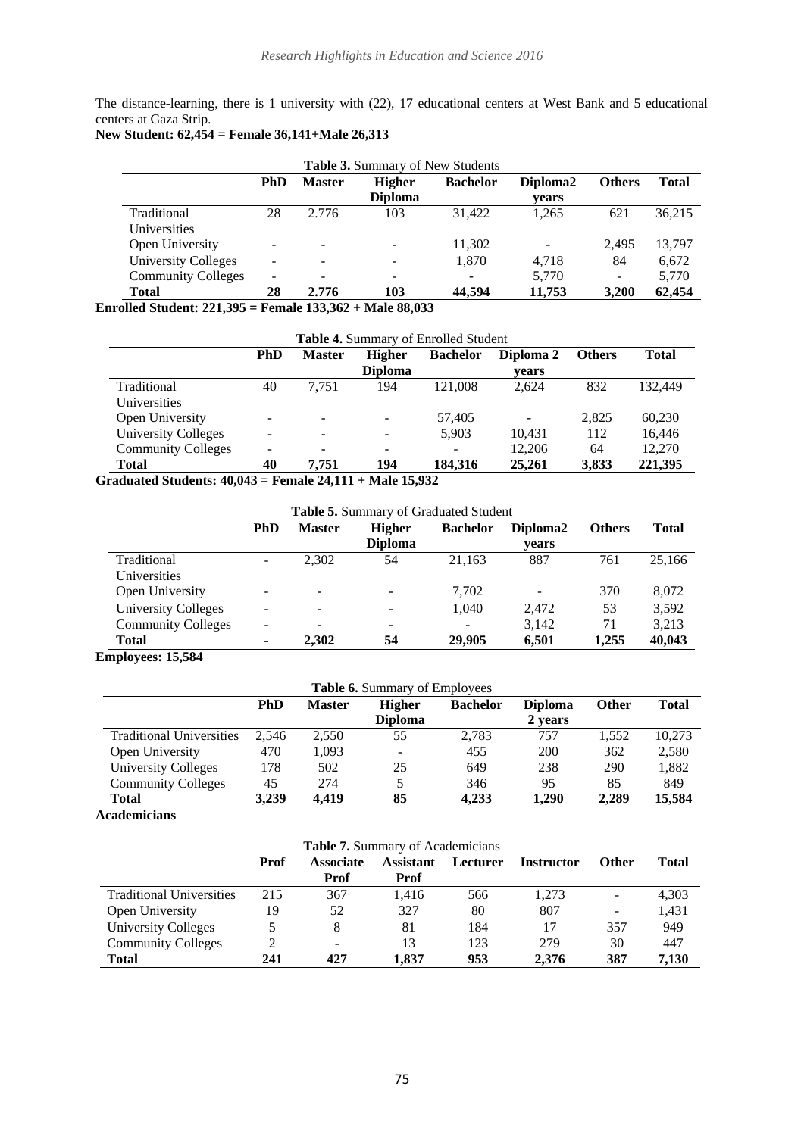The distance-learning, there is 1 university with (22), 17 educational centers at West Bank and 5 educational centers at Gaza Strip.

# **New Student: 62,454 = Female 36,141+Male 26,313**

|                                                                                            | Table 3. Summary of New Students |               |                                 |                 |                          |                          |              |
|--------------------------------------------------------------------------------------------|----------------------------------|---------------|---------------------------------|-----------------|--------------------------|--------------------------|--------------|
|                                                                                            | PhD                              | <b>Master</b> | <b>Higher</b>                   | <b>Bachelor</b> | Diploma <sub>2</sub>     | <b>Others</b>            | <b>Total</b> |
|                                                                                            |                                  |               | <b>Diploma</b>                  |                 | vears                    |                          |              |
| Traditional                                                                                | 28                               | 2.776         | 103                             | 31.422          | 1.265                    | 621                      | 36,215       |
| Universities                                                                               |                                  |               |                                 |                 |                          |                          |              |
| Open University                                                                            | -                                |               |                                 | 11,302          | $\overline{\phantom{a}}$ | 2.495                    | 13,797       |
| <b>University Colleges</b>                                                                 | $\overline{\phantom{0}}$         |               |                                 | 1.870           | 4.718                    | 84                       | 6,672        |
| <b>Community Colleges</b>                                                                  | $\overline{\phantom{a}}$         |               |                                 |                 | 5,770                    | $\overline{\phantom{a}}$ | 5,770        |
| <b>Total</b>                                                                               | 28                               | 2.776         | 103                             | 44.594          | 11,753                   | 3,200                    | 62,454       |
| $\mathbf{u}$ $\mathbf{u}$ $\mathbf{u}$ $\mathbf{u}$ $\mathbf{A}$ $\mathbf{A}$ $\mathbf{A}$ |                                  |               | $E = 1.423.26 \cdot M + 00.023$ |                 |                          |                          |              |

**Enrolled Student: 221,395 = Female 133,362 + Male 88,033** 

|                           | Table 4. Summary of Enrolled Student |               |                          |                          |           |               |              |
|---------------------------|--------------------------------------|---------------|--------------------------|--------------------------|-----------|---------------|--------------|
|                           | <b>PhD</b>                           | <b>Master</b> | <b>Higher</b>            | <b>Bachelor</b>          | Diploma 2 | <b>Others</b> | <b>Total</b> |
|                           |                                      |               | <b>Diploma</b>           |                          | vears     |               |              |
| Traditional               | 40                                   | 7.751         | 194                      | 121.008                  | 2.624     | 832           | 132.449      |
| Universities              |                                      |               |                          |                          |           |               |              |
| Open University           |                                      |               |                          | 57,405                   |           | 2.825         | 60.230       |
| University Colleges       |                                      |               | $\overline{\phantom{a}}$ | 5,903                    | 10.431    | 112           | 16.446       |
| <b>Community Colleges</b> |                                      |               |                          | $\overline{\phantom{0}}$ | 12.206    | 64            | 12.270       |
| <b>Total</b>              | 40                                   | 7.751         | 194                      | 184.316                  | 25,261    | 3,833         | 221,395      |
| $\cdots$                  | $\overline{\phantom{a}}$             | .             | -- - <i>-</i> - - - -    |                          |           |               |              |

**Graduated Students: 40,043 = Female 24,111 + Male 15,932**

| <b>Table 5.</b> Summary of Graduated Student |                          |                          |                                 |                 |                               |               |              |
|----------------------------------------------|--------------------------|--------------------------|---------------------------------|-----------------|-------------------------------|---------------|--------------|
|                                              | <b>PhD</b>               | <b>Master</b>            | <b>Higher</b><br><b>Diploma</b> | <b>Bachelor</b> | Diploma <sub>2</sub><br>vears | <b>Others</b> | <b>Total</b> |
| Traditional<br>Universities                  | $\blacksquare$           | 2,302                    | 54                              | 21.163          | 887                           | 761           | 25,166       |
| Open University                              |                          | $\overline{\phantom{0}}$ | $\overline{\phantom{a}}$        | 7,702           |                               | 370           | 8,072        |
| University Colleges                          | $\overline{\phantom{0}}$ |                          | $\overline{\phantom{a}}$        | 1,040           | 2.472                         | 53            | 3,592        |
| <b>Community Colleges</b>                    | $\overline{\phantom{0}}$ |                          | $\overline{\phantom{a}}$        |                 | 3.142                         | 71            | 3,213        |
| Total<br>.                                   | $\blacksquare$           | 2,302                    | 54                              | 29,905          | 6,501                         | 1,255         | 40,043       |

# **Employees: 15,584**

| <b>Table 6.</b> Summary of Employees |            |               |                          |                 |                |              |              |
|--------------------------------------|------------|---------------|--------------------------|-----------------|----------------|--------------|--------------|
|                                      | <b>PhD</b> | <b>Master</b> | <b>Higher</b>            | <b>Bachelor</b> | <b>Diploma</b> | <b>Other</b> | <b>Total</b> |
|                                      |            |               | <b>Diploma</b>           |                 | 2 years        |              |              |
| <b>Traditional Universities</b>      | 2.546      | 2.550         | 55                       | 2,783           | 757            | 1,552        | 10,273       |
| Open University                      | 470        | 1,093         | $\overline{\phantom{a}}$ | 455             | 200            | 362          | 2,580        |
| <b>University Colleges</b>           | 178        | 502           | 25                       | 649             | 238            | 290          | 1,882        |
| <b>Community Colleges</b>            | 45         | 274           |                          | 346             | 95             | 85           | 849          |
| <b>Total</b>                         | 3.239      | 4.419         | 85                       | 4.233           | 1.290          | 2.289        | 15.584       |

**Academicians**

| <b>Table 7.</b> Summary of Academicians |             |                          |                  |          |                   |              |       |
|-----------------------------------------|-------------|--------------------------|------------------|----------|-------------------|--------------|-------|
|                                         | <b>Prof</b> | <b>Associate</b>         | <b>Assistant</b> | Lecturer | <b>Instructor</b> | <b>Other</b> | Total |
|                                         |             | <b>Prof</b>              | Prof             |          |                   |              |       |
| <b>Traditional Universities</b>         | 215         | 367                      | 1.416            | 566      | 1.273             | -            | 4,303 |
| Open University                         | 19          | 52                       | 327              | 80       | 807               | -            | 1,431 |
| <b>University Colleges</b>              |             | 8                        | 81               | 184      | 17                | 357          | 949   |
| <b>Community Colleges</b>               | ∍           | $\overline{\phantom{a}}$ | 13               | 123      | 279               | 30           | 447   |
| <b>Total</b>                            | 241         | 427                      | 1.837            | 953      | 2.376             | 387          | 7,130 |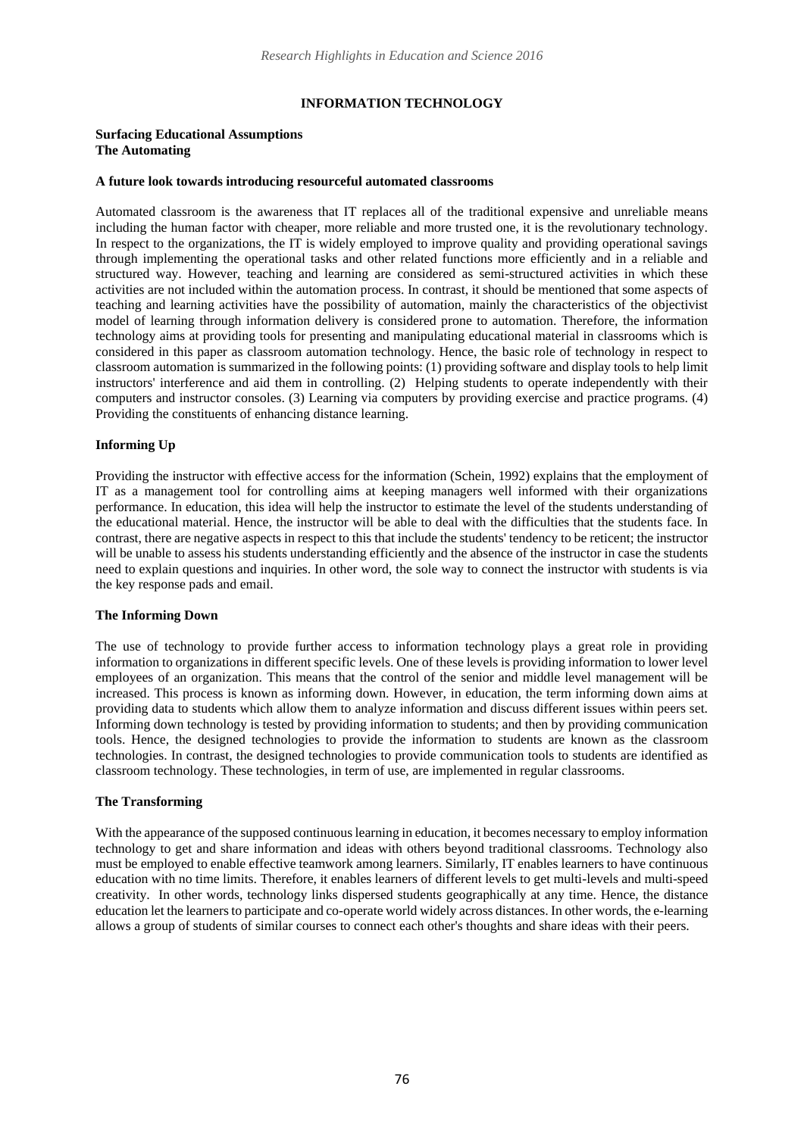#### **INFORMATION TECHNOLOGY**

#### **Surfacing Educational Assumptions The Automating**

#### **A future look towards introducing resourceful automated classrooms**

Automated classroom is the awareness that IT replaces all of the traditional expensive and unreliable means including the human factor with cheaper, more reliable and more trusted one, it is the revolutionary technology. In respect to the organizations, the IT is widely employed to improve quality and providing operational savings through implementing the operational tasks and other related functions more efficiently and in a reliable and structured way. However, teaching and learning are considered as semi-structured activities in which these activities are not included within the automation process. In contrast, it should be mentioned that some aspects of teaching and learning activities have the possibility of automation, mainly the characteristics of the objectivist model of learning through information delivery is considered prone to automation. Therefore, the information technology aims at providing tools for presenting and manipulating educational material in classrooms which is considered in this paper as classroom automation technology. Hence, the basic role of technology in respect to classroom automation is summarized in the following points: (1) providing software and display tools to help limit instructors' interference and aid them in controlling. (2) Helping students to operate independently with their computers and instructor consoles. (3) Learning via computers by providing exercise and practice programs. (4) Providing the constituents of enhancing distance learning.

# **Informing Up**

Providing the instructor with effective access for the information (Schein, 1992) explains that the employment of IT as a management tool for controlling aims at keeping managers well informed with their organizations performance. In education, this idea will help the instructor to estimate the level of the students understanding of the educational material. Hence, the instructor will be able to deal with the difficulties that the students face. In contrast, there are negative aspects in respect to this that include the students' tendency to be reticent; the instructor will be unable to assess his students understanding efficiently and the absence of the instructor in case the students need to explain questions and inquiries. In other word, the sole way to connect the instructor with students is via the key response pads and email.

#### **The Informing Down**

The use of technology to provide further access to information technology plays a great role in providing information to organizations in different specific levels. One of these levels is providing information to lower level employees of an organization. This means that the control of the senior and middle level management will be increased. This process is known as informing down. However, in education, the term informing down aims at providing data to students which allow them to analyze information and discuss different issues within peers set. Informing down technology is tested by providing information to students; and then by providing communication tools. Hence, the designed technologies to provide the information to students are known as the classroom technologies. In contrast, the designed technologies to provide communication tools to students are identified as classroom technology. These technologies, in term of use, are implemented in regular classrooms.

#### **The Transforming**

With the appearance of the supposed continuous learning in education, it becomes necessary to employ information technology to get and share information and ideas with others beyond traditional classrooms. Technology also must be employed to enable effective teamwork among learners. Similarly, IT enables learners to have continuous education with no time limits. Therefore, it enables learners of different levels to get multi-levels and multi-speed creativity. In other words, technology links dispersed students geographically at any time. Hence, the distance education let the learners to participate and co-operate world widely across distances. In other words, the e-learning allows a group of students of similar courses to connect each other's thoughts and share ideas with their peers.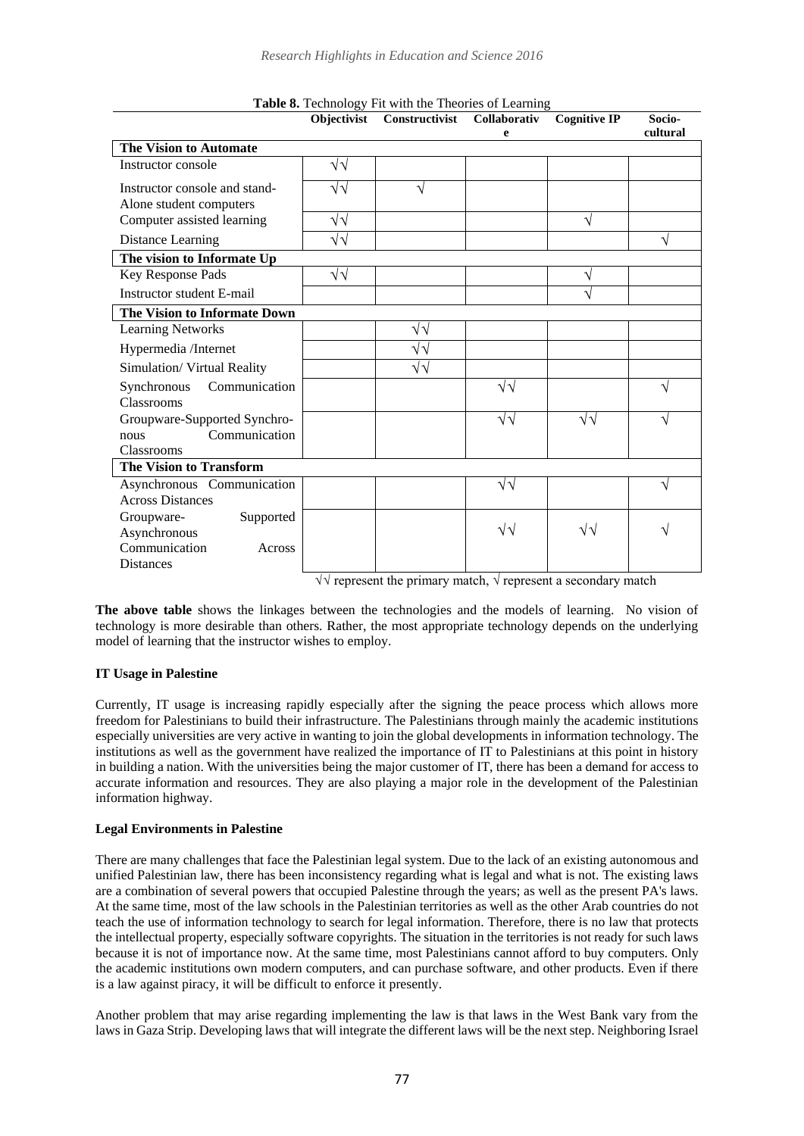|                                            | Objectivist       | Constructivist | Collaborativ<br>e | <b>Cognitive IP</b> | Socio-<br>cultural |
|--------------------------------------------|-------------------|----------------|-------------------|---------------------|--------------------|
| <b>The Vision to Automate</b>              |                   |                |                   |                     |                    |
| Instructor console                         | $\sqrt{\sqrt{2}}$ |                |                   |                     |                    |
| Instructor console and stand-              | √√                | V              |                   |                     |                    |
| Alone student computers                    |                   |                |                   |                     |                    |
| Computer assisted learning                 | $\sqrt{\sqrt{2}}$ |                |                   | V                   |                    |
| Distance Learning                          | $\sqrt{\sqrt{2}}$ |                |                   |                     | V                  |
| The vision to Informate Up                 |                   |                |                   |                     |                    |
| Key Response Pads                          | √√                |                |                   | V                   |                    |
| Instructor student E-mail                  |                   |                |                   | J                   |                    |
| The Vision to Informate Down               |                   |                |                   |                     |                    |
| <b>Learning Networks</b>                   |                   | √√             |                   |                     |                    |
| Hypermedia /Internet                       |                   | $\sqrt{v}$     |                   |                     |                    |
| Simulation/ Virtual Reality                |                   | √√             |                   |                     |                    |
| Synchronous<br>Communication<br>Classrooms |                   |                | $\sqrt{2}$        |                     | N                  |
| Groupware-Supported Synchro-               |                   |                | $\sqrt{2}$        | $\sqrt{\sqrt{2}}$   | V                  |
| Communication<br>nous                      |                   |                |                   |                     |                    |
| Classrooms                                 |                   |                |                   |                     |                    |
| The Vision to Transform                    |                   |                |                   |                     |                    |
| Asynchronous Communication                 |                   |                | $\sqrt{2}$        |                     | V                  |
| <b>Across Distances</b>                    |                   |                |                   |                     |                    |
| Groupware-<br>Supported                    |                   |                |                   |                     |                    |
| Asynchronous                               |                   |                | $\sqrt{2}$        | $\sqrt{\sqrt{2}}$   | V                  |
| Communication<br>Across                    |                   |                |                   |                     |                    |
| <b>Distances</b>                           |                   |                |                   |                     |                    |

**Table 8.** Technology Fit with the Theories of Learning

 $\forall \forall$  represent the primary match,  $\forall$  represent a secondary match

**The above table** shows the linkages between the technologies and the models of learning. No vision of technology is more desirable than others. Rather, the most appropriate technology depends on the underlying model of learning that the instructor wishes to employ.

## **IT Usage in Palestine**

Currently, IT usage is increasing rapidly especially after the signing the peace process which allows more freedom for Palestinians to build their infrastructure. The Palestinians through mainly the academic institutions especially universities are very active in wanting to join the global developments in information technology. The institutions as well as the government have realized the importance of IT to Palestinians at this point in history in building a nation. With the universities being the major customer of IT, there has been a demand for access to accurate information and resources. They are also playing a major role in the development of the Palestinian information highway.

# **Legal Environments in Palestine**

There are many challenges that face the Palestinian legal system. Due to the lack of an existing autonomous and unified Palestinian law, there has been inconsistency regarding what is legal and what is not. The existing laws are a combination of several powers that occupied Palestine through the years; as well as the present PA's laws. At the same time, most of the law schools in the Palestinian territories as well as the other Arab countries do not teach the use of information technology to search for legal information. Therefore, there is no law that protects the intellectual property, especially software copyrights. The situation in the territories is not ready for such laws because it is not of importance now. At the same time, most Palestinians cannot afford to buy computers. Only the academic institutions own modern computers, and can purchase software, and other products. Even if there is a law against piracy, it will be difficult to enforce it presently.

Another problem that may arise regarding implementing the law is that laws in the West Bank vary from the laws in Gaza Strip. Developing laws that will integrate the different laws will be the next step. Neighboring Israel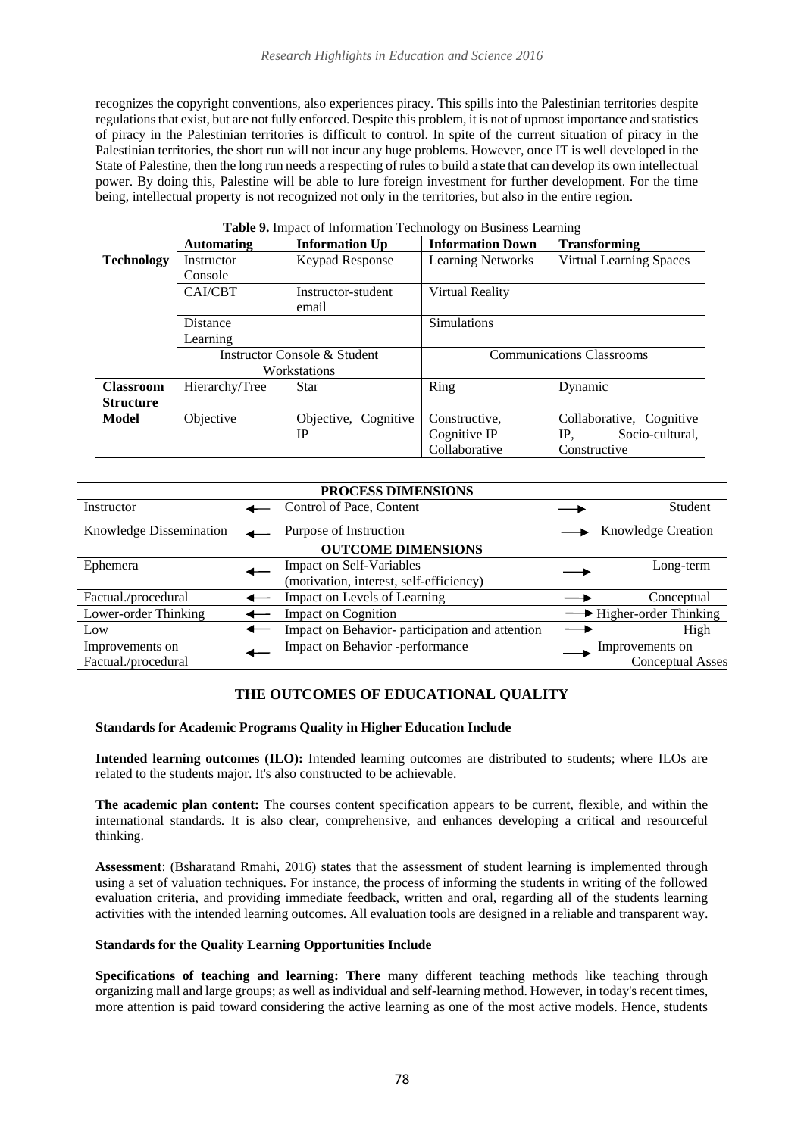recognizes the copyright conventions, also experiences piracy. This spills into the Palestinian territories despite regulations that exist, but are not fully enforced. Despite this problem, it is not of upmost importance and statistics of piracy in the Palestinian territories is difficult to control. In spite of the current situation of piracy in the Palestinian territories, the short run will not incur any huge problems. However, once IT is well developed in the State of Palestine, then the long run needs a respecting of rules to build a state that can develop its own intellectual power. By doing this, Palestine will be able to lure foreign investment for further development. For the time being, intellectual property is not recognized not only in the territories, but also in the entire region.

|                   | Table 9. Impact of Information Technology on Business Learning |                              |                                  |                          |  |  |  |  |  |
|-------------------|----------------------------------------------------------------|------------------------------|----------------------------------|--------------------------|--|--|--|--|--|
|                   | <b>Automating</b>                                              | <b>Information Up</b>        | <b>Information Down</b>          | <b>Transforming</b>      |  |  |  |  |  |
| <b>Technology</b> | Instructor                                                     | Keypad Response              | <b>Learning Networks</b>         | Virtual Learning Spaces  |  |  |  |  |  |
|                   | Console                                                        |                              |                                  |                          |  |  |  |  |  |
|                   | CAI/CBT                                                        | Instructor-student           | Virtual Reality                  |                          |  |  |  |  |  |
|                   |                                                                | email                        |                                  |                          |  |  |  |  |  |
|                   | Distance                                                       |                              | <b>Simulations</b>               |                          |  |  |  |  |  |
|                   | Learning                                                       |                              |                                  |                          |  |  |  |  |  |
|                   |                                                                | Instructor Console & Student | <b>Communications Classrooms</b> |                          |  |  |  |  |  |
|                   |                                                                | Workstations                 |                                  |                          |  |  |  |  |  |
| <b>Classroom</b>  | Hierarchy/Tree                                                 | Star                         | Ring                             | Dynamic                  |  |  |  |  |  |
| <b>Structure</b>  |                                                                |                              |                                  |                          |  |  |  |  |  |
| <b>Model</b>      | Objective                                                      | Cognitive<br>Objective,      | Constructive.                    | Collaborative, Cognitive |  |  |  |  |  |
|                   |                                                                | IP                           | Cognitive IP                     | Socio-cultural,<br>IP.   |  |  |  |  |  |
|                   |                                                                |                              | Collaborative                    | Constructive             |  |  |  |  |  |

| PROCESS DIMENSIONS      |  |                                                |  |                           |  |  |  |
|-------------------------|--|------------------------------------------------|--|---------------------------|--|--|--|
| Instructor              |  | Control of Pace, Content                       |  | Student                   |  |  |  |
| Knowledge Dissemination |  | Purpose of Instruction                         |  | <b>Knowledge Creation</b> |  |  |  |
|                         |  | <b>OUTCOME DIMENSIONS</b>                      |  |                           |  |  |  |
| Ephemera                |  | <b>Impact on Self-Variables</b>                |  | Long-term                 |  |  |  |
|                         |  | (motivation, interest, self-efficiency)        |  |                           |  |  |  |
| Factual./procedural     |  | Impact on Levels of Learning                   |  | Conceptual                |  |  |  |
| Lower-order Thinking    |  | <b>Impact on Cognition</b>                     |  | → Higher-order Thinking   |  |  |  |
| Low                     |  | Impact on Behavior-participation and attention |  | High                      |  |  |  |
| Improvements on         |  | Impact on Behavior -performance                |  | Improvements on           |  |  |  |
| Factual./procedural     |  |                                                |  | Conceptual Asses          |  |  |  |

# **THE OUTCOMES OF EDUCATIONAL QUALITY**

#### **Standards for Academic Programs Quality in Higher Education Include**

**Intended learning outcomes (ILO):** Intended learning outcomes are distributed to students; where ILOs are related to the students major. It's also constructed to be achievable.

**The academic plan content:** The courses content specification appears to be current, flexible, and within the international standards. It is also clear, comprehensive, and enhances developing a critical and resourceful thinking.

**Assessment**: (Bsharatand Rmahi, 2016) states that the assessment of student learning is implemented through using a set of valuation techniques. For instance, the process of informing the students in writing of the followed evaluation criteria, and providing immediate feedback, written and oral, regarding all of the students learning activities with the intended learning outcomes. All evaluation tools are designed in a reliable and transparent way.

#### **Standards for the Quality Learning Opportunities Include**

**Specifications of teaching and learning: There** many different teaching methods like teaching through organizing mall and large groups; as well as individual and self-learning method. However, in today's recent times, more attention is paid toward considering the active learning as one of the most active models. Hence, students